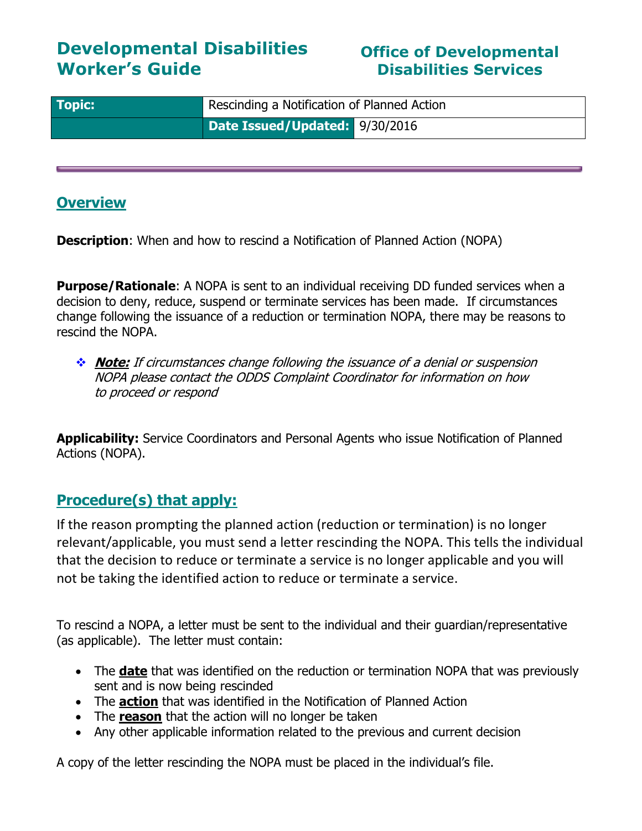## **Developmental Disabilities Worker's Guide**

### **Office of Developmental Disabilities Services**

| <b>Topic:</b> | Rescinding a Notification of Planned Action |  |
|---------------|---------------------------------------------|--|
|               | Date Issued/Updated: 9/30/2016              |  |

#### **Overview**

**Description**: When and how to rescind a Notification of Planned Action (NOPA)

**Purpose/Rationale:** A NOPA is sent to an individual receiving DD funded services when a decision to deny, reduce, suspend or terminate services has been made. If circumstances change following the issuance of a reduction or termination NOPA, there may be reasons to rescind the NOPA.

 **Note:** If circumstances change following the issuance of a denial or suspension NOPA please contact the ODDS Complaint Coordinator for information on how to proceed or respond

**Applicability:** Service Coordinators and Personal Agents who issue Notification of Planned Actions (NOPA).

## **Procedure(s) that apply:**

If the reason prompting the planned action (reduction or termination) is no longer relevant/applicable, you must send a letter rescinding the NOPA. This tells the individual that the decision to reduce or terminate a service is no longer applicable and you will not be taking the identified action to reduce or terminate a service.

To rescind a NOPA, a letter must be sent to the individual and their guardian/representative (as applicable). The letter must contain:

- The **date** that was identified on the reduction or termination NOPA that was previously sent and is now being rescinded
- The **action** that was identified in the Notification of Planned Action
- The **reason** that the action will no longer be taken
- Any other applicable information related to the previous and current decision

A copy of the letter rescinding the NOPA must be placed in the individual's file.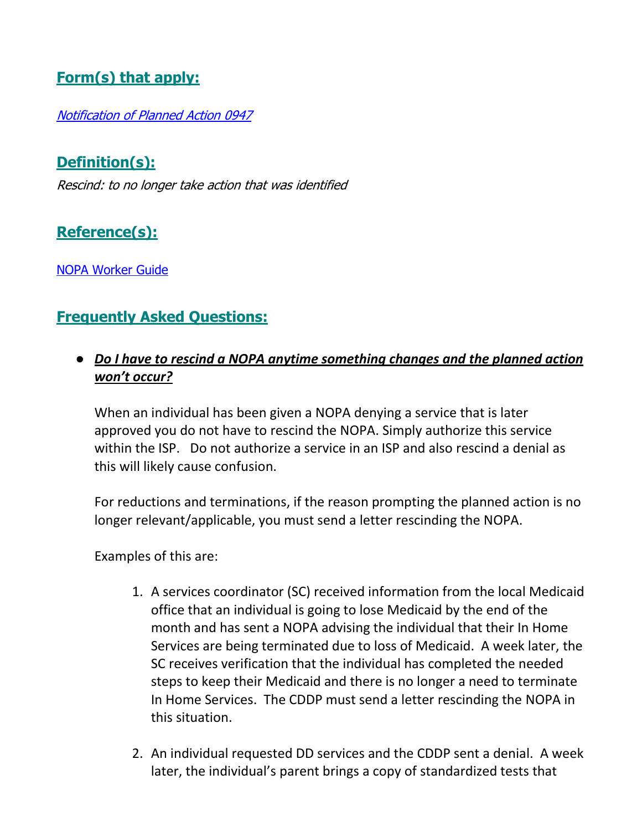## **Form(s) that apply:**

[Notification of Planned Action 0947](https://aix-xweb1p.state.or.us/es_xweb/DHSforms/Served/se0947.doc)

**Definition(s):**

Rescind: to no longer take action that was identified

**Reference(s):**

[NOPA Worker Guide](http://www.dhs.state.or.us/spd/tools/dd/cm/NOPA%20Worker%20Guide.pdf)

## **Frequently Asked Questions:**

### ● *Do I have to rescind a NOPA anytime something changes and the planned action won't occur?*

When an individual has been given a NOPA denying a service that is later approved you do not have to rescind the NOPA. Simply authorize this service within the ISP. Do not authorize a service in an ISP and also rescind a denial as this will likely cause confusion.

For reductions and terminations, if the reason prompting the planned action is no longer relevant/applicable, you must send a letter rescinding the NOPA.

Examples of this are:

- 1. A services coordinator (SC) received information from the local Medicaid office that an individual is going to lose Medicaid by the end of the month and has sent a NOPA advising the individual that their In Home Services are being terminated due to loss of Medicaid. A week later, the SC receives verification that the individual has completed the needed steps to keep their Medicaid and there is no longer a need to terminate In Home Services. The CDDP must send a letter rescinding the NOPA in this situation.
- 2. An individual requested DD services and the CDDP sent a denial. A week later, the individual's parent brings a copy of standardized tests that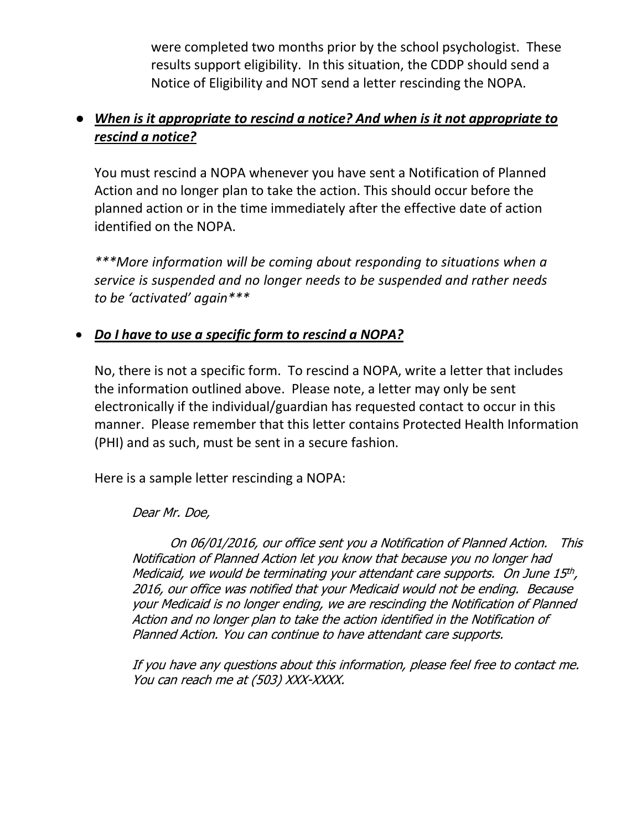were completed two months prior by the school psychologist. These results support eligibility. In this situation, the CDDP should send a Notice of Eligibility and NOT send a letter rescinding the NOPA.

#### ● *When is it appropriate to rescind a notice? And when is it not appropriate to rescind a notice?*

You must rescind a NOPA whenever you have sent a Notification of Planned Action and no longer plan to take the action. This should occur before the planned action or in the time immediately after the effective date of action identified on the NOPA.

*\*\*\*More information will be coming about responding to situations when a service is suspended and no longer needs to be suspended and rather needs to be 'activated' again\*\*\**

#### *Do I have to use a specific form to rescind a NOPA?*

No, there is not a specific form. To rescind a NOPA, write a letter that includes the information outlined above. Please note, a letter may only be sent electronically if the individual/guardian has requested contact to occur in this manner. Please remember that this letter contains Protected Health Information (PHI) and as such, must be sent in a secure fashion.

Here is a sample letter rescinding a NOPA:

#### Dear Mr. Doe,

On 06/01/2016, our office sent you a Notification of Planned Action. This Notification of Planned Action let you know that because you no longer had Medicaid, we would be terminating your attendant care supports. On June 15th, 2016, our office was notified that your Medicaid would not be ending. Because your Medicaid is no longer ending, we are rescinding the Notification of Planned Action and no longer plan to take the action identified in the Notification of Planned Action. You can continue to have attendant care supports.

If you have any questions about this information, please feel free to contact me. You can reach me at (503) XXX-XXXX.